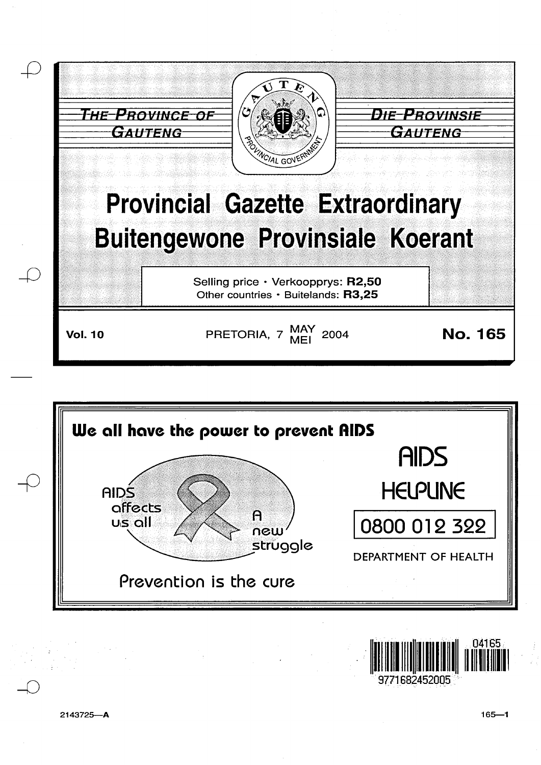





2143725-A